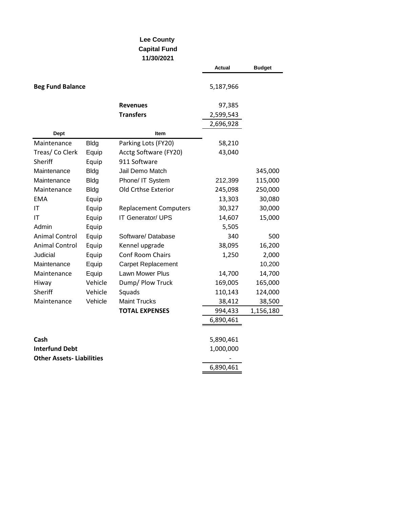## **Lee County Capital Fund 11/30/2021**

|                                 |             |                              | Actual    | <b>Budget</b> |
|---------------------------------|-------------|------------------------------|-----------|---------------|
| <b>Beg Fund Balance</b>         |             |                              | 5,187,966 |               |
|                                 |             | <b>Revenues</b>              | 97,385    |               |
|                                 |             | <b>Transfers</b>             | 2,599,543 |               |
|                                 |             |                              | 2,696,928 |               |
| <b>Dept</b>                     |             | Item                         |           |               |
| Maintenance                     | <b>Bldg</b> | Parking Lots (FY20)          | 58,210    |               |
| Treas/ Co Clerk                 | Equip       | Acctg Software (FY20)        | 43,040    |               |
| Sheriff                         | Equip       | 911 Software                 |           |               |
| Maintenance                     | <b>Bldg</b> | Jail Demo Match              |           | 345,000       |
| Maintenance                     | <b>Bldg</b> | Phone/ IT System             | 212,399   | 115,000       |
| Maintenance                     | <b>Bldg</b> | Old Crthse Exterior          | 245,098   | 250,000       |
| <b>EMA</b>                      | Equip       |                              | 13,303    | 30,080        |
| IT                              | Equip       | <b>Replacement Computers</b> | 30,327    | 30,000        |
| IT                              | Equip       | IT Generator/ UPS            | 14,607    | 15,000        |
| Admin                           | Equip       |                              | 5,505     |               |
| <b>Animal Control</b>           | Equip       | Software/Database            | 340       | 500           |
| <b>Animal Control</b>           | Equip       | Kennel upgrade               | 38,095    | 16,200        |
| Judicial                        | Equip       | Conf Room Chairs             | 1,250     | 2,000         |
| Maintenance                     | Equip       | Carpet Replacement           |           | 10,200        |
| Maintenance                     | Equip       | Lawn Mower Plus              | 14,700    | 14,700        |
| Hiway                           | Vehicle     | Dump/ Plow Truck             | 169,005   | 165,000       |
| Sheriff                         | Vehicle     | Squads                       | 110,143   | 124,000       |
| Maintenance                     | Vehicle     | <b>Maint Trucks</b>          | 38,412    | 38,500        |
|                                 |             | <b>TOTAL EXPENSES</b>        | 994,433   | 1,156,180     |
|                                 |             |                              | 6,890,461 |               |
|                                 |             |                              |           |               |
| Cash                            |             |                              | 5,890,461 |               |
| <b>Interfund Debt</b>           |             |                              | 1,000,000 |               |
| <b>Other Assets-Liabilities</b> |             |                              |           |               |
|                                 |             |                              | 6,890,461 |               |
|                                 |             |                              |           |               |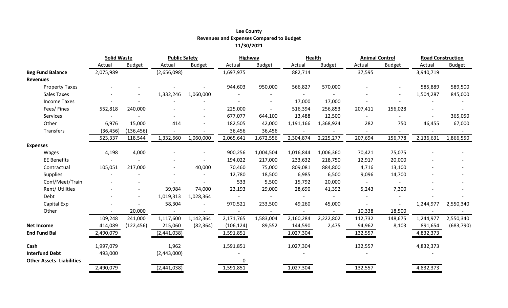# **Lee County Revenues and Expenses Compared to Budget 11/30/2021**

|                                 | <b>Solid Waste</b> |               | <b>Public Safety</b> |               |            | Highway       |           | <b>Health</b> |         | <b>Animal Control</b> |           | <b>Road Construction</b> |  |
|---------------------------------|--------------------|---------------|----------------------|---------------|------------|---------------|-----------|---------------|---------|-----------------------|-----------|--------------------------|--|
|                                 | Actual             | <b>Budget</b> | Actual               | <b>Budget</b> | Actual     | <b>Budget</b> | Actual    | <b>Budget</b> | Actual  | <b>Budget</b>         | Actual    | <b>Budget</b>            |  |
| <b>Beg Fund Balance</b>         | 2,075,989          |               | (2,656,098)          |               | 1,697,975  |               | 882,714   |               | 37,595  |                       | 3,940,719 |                          |  |
| <b>Revenues</b>                 |                    |               |                      |               |            |               |           |               |         |                       |           |                          |  |
| <b>Property Taxes</b>           |                    |               |                      |               | 944,603    | 950,000       | 566,827   | 570,000       |         |                       | 585,889   | 589,500                  |  |
| <b>Sales Taxes</b>              |                    |               | 1,332,246            | 1,060,000     |            |               |           |               |         |                       | 1,504,287 | 845,000                  |  |
| <b>Income Taxes</b>             |                    |               |                      |               |            |               | 17,000    | 17,000        |         |                       |           |                          |  |
| Fees/Fines                      | 552,818            | 240,000       |                      |               | 225,000    |               | 516,394   | 256,853       | 207,411 | 156,028               |           |                          |  |
| Services                        |                    |               |                      |               | 677,077    | 644,100       | 13,488    | 12,500        |         |                       |           | 365,050                  |  |
| Other                           | 6,976              | 15,000        | 414                  |               | 182,505    | 42,000        | 1,191,166 | 1,368,924     | 282     | 750                   | 46,455    | 67,000                   |  |
| Transfers                       | (36, 456)          | (136, 456)    |                      |               | 36,456     | 36,456        |           |               |         |                       |           |                          |  |
|                                 | 523,337            | 118,544       | 1,332,660            | 1,060,000     | 2,065,641  | 1,672,556     | 2,304,874 | 2,225,277     | 207,694 | 156,778               | 2,136,631 | 1,866,550                |  |
| <b>Expenses</b>                 |                    |               |                      |               |            |               |           |               |         |                       |           |                          |  |
| Wages                           | 4,198              | 4,000         |                      |               | 900,256    | 1,004,504     | 1,016,844 | 1,006,360     | 70,421  | 75,075                |           |                          |  |
| <b>EE Benefits</b>              |                    |               |                      |               | 194,022    | 217,000       | 233,632   | 218,750       | 12,917  | 20,000                |           |                          |  |
| Contractual                     | 105,051            | 217,000       |                      | 40,000        | 70,460     | 75,000        | 809,081   | 884,800       | 4,716   | 13,100                |           |                          |  |
| <b>Supplies</b>                 |                    |               |                      |               | 12,780     | 18,500        | 6,985     | 6,500         | 9,096   | 14,700                |           |                          |  |
| Conf/Meet/Train                 |                    |               |                      |               | 533        | 5,500         | 15,792    | 20,000        | $\sim$  |                       |           |                          |  |
| Rent/Utilities                  |                    |               | 39,984               | 74,000        | 23,193     | 29,000        | 28,690    | 41,392        | 5,243   | 7,300                 |           |                          |  |
| Debt                            |                    |               | 1,019,313            | 1,028,364     |            |               |           |               |         |                       |           |                          |  |
| Capital Exp                     |                    |               | 58,304               |               | 970,521    | 233,500       | 49,260    | 45,000        |         |                       | 1,244,977 | 2,550,340                |  |
| Other                           |                    | 20,000        |                      |               |            |               |           |               | 10,338  | 18,500                |           |                          |  |
|                                 | 109,248            | 241,000       | 1,117,600            | 1,142,364     | 2,171,765  | 1,583,004     | 2,160,284 | 2,222,802     | 112,732 | 148,675               | 1,244,977 | 2,550,340                |  |
| <b>Net Income</b>               | 414,089            | (122, 456)    | 215,060              | (82, 364)     | (106, 124) | 89,552        | 144,590   | 2,475         | 94,962  | 8,103                 | 891,654   | (683, 790)               |  |
| <b>End Fund Bal</b>             | 2,490,079          |               | (2,441,038)          |               | 1,591,851  |               | 1,027,304 |               | 132,557 |                       | 4,832,373 |                          |  |
|                                 |                    |               |                      |               |            |               |           |               |         |                       |           |                          |  |
| Cash                            | 1,997,079          |               | 1,962                |               | 1,591,851  |               | 1,027,304 |               | 132,557 |                       | 4,832,373 |                          |  |
| <b>Interfund Debt</b>           | 493,000            |               | (2,443,000)          |               |            |               |           |               |         |                       |           |                          |  |
| <b>Other Assets-Liabilities</b> |                    |               |                      |               | $\Omega$   |               |           |               |         |                       |           |                          |  |
|                                 | 2,490,079          |               | (2,441,038)          |               | 1,591,851  |               | 1,027,304 |               | 132,557 |                       | 4,832,373 |                          |  |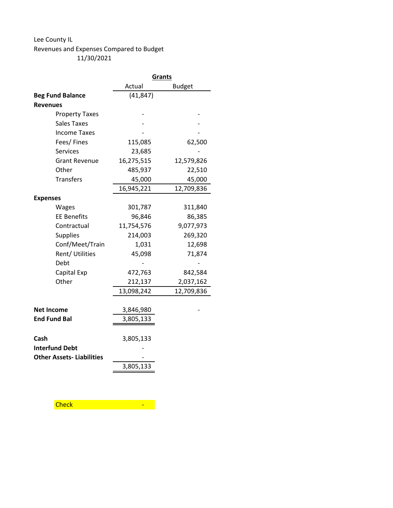#### Lee County IL

## Revenues and Expenses Compared to Budget 11/30/2021

 $\overline{\phantom{0}}$ 

|                                 | Grants     |               |
|---------------------------------|------------|---------------|
|                                 | Actual     | <b>Budget</b> |
| <b>Beg Fund Balance</b>         | (41, 847)  |               |
| <b>Revenues</b>                 |            |               |
| <b>Property Taxes</b>           |            |               |
| Sales Taxes                     |            |               |
| <b>Income Taxes</b>             |            |               |
| Fees/Fines                      | 115,085    | 62,500        |
| <b>Services</b>                 | 23,685     |               |
| <b>Grant Revenue</b>            | 16,275,515 | 12,579,826    |
| Other                           | 485,937    | 22,510        |
| <b>Transfers</b>                | 45,000     | 45,000        |
|                                 | 16,945,221 | 12,709,836    |
| <b>Expenses</b>                 |            |               |
| Wages                           | 301,787    | 311,840       |
| <b>EE Benefits</b>              | 96,846     | 86,385        |
| Contractual                     | 11,754,576 | 9,077,973     |
| <b>Supplies</b>                 | 214,003    | 269,320       |
| Conf/Meet/Train                 | 1,031      | 12,698        |
| Rent/ Utilities                 | 45,098     | 71,874        |
| Debt                            |            |               |
| Capital Exp                     | 472,763    | 842,584       |
| Other                           | 212,137    | 2,037,162     |
|                                 | 13,098,242 | 12,709,836    |
|                                 |            |               |
| <b>Net Income</b>               | 3,846,980  |               |
| <b>End Fund Bal</b>             | 3,805,133  |               |
|                                 |            |               |
| Cash                            | 3,805,133  |               |
| <b>Interfund Debt</b>           |            |               |
| <b>Other Assets-Liabilities</b> |            |               |
|                                 | 3,805,133  |               |
|                                 |            |               |

Check - Change - Check - Check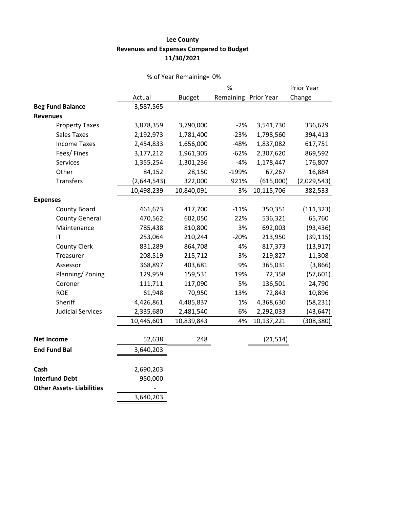#### **Lee County Revenues and Expenses Compared to Budget 11/30/2021**

## % of Year Remaining= 0% Actual Budget % Remaining Prior Year Prior Year Change **Beg Fund Balance** 3,587,565 **Revenues** Property Taxes 3,878,359 3,790,000 -2% 3,541,730 336,629 Sales Taxes 2,192,973 1,781,400 -23% 1,798,560 394,413 Income Taxes 2,454,833 1,656,000 -48% 1,837,082 617,751 Fees/ Fines 3,177,212 1,961,305 -62% 2,307,620 869,592 Services 1,355,254 1,301,236 -4% 1,178,447 176,807 Other 84,152 28,150 -199% 67,267 16,884 Transfers (2,644,543) 322,000 921% (615,000) (2,029,543) 10,498,239 10,840,091 3% 10,115,706 382,533 **Expenses** County Board 461,673 417,700 -11% 350,351 (111,323) County General 470,562 602,050 22% 536,321 65,760 Maintenance 785,438 810,800 3% 692,003 (93,436) IT 253,064 210,244 -20% 213,950 (39,115) County Clerk 831,289 864,708 4% 817,373 (13,917) Treasurer 208,519 215,712 3% 219,827 11,308 Assessor 368,897 403,681 9% 365,031 (3,866) Planning/ Zoning 129,959 159,531 19% 72,358 (57,601) Coroner 111,711 117,090 5% 136,501 24,790 ROE 61,948 70,950 13% 72,843 10,896 Sheriff 4,426,861 4,485,837 1% 4,368,630 (58,231) Judicial Services 2,335,680 2,481,540 6% 2,292,033 (43,647) 10,445,601 10,839,843 4% 10,137,221 (308,380) **Net Income** 52,638 248 (21,514) **End Fund Bal** 3,640,203 **Cash** 2,690,203 **Interfund Debt** 950,000 **Other Assets- Liabilities**

3,640,203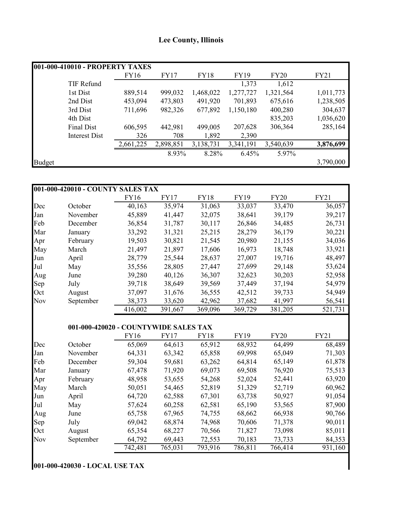# **Lee County, Illinois**

|        | 001-000-410010 - PROPERTY TAXES |           |             |             |             |             |           |
|--------|---------------------------------|-----------|-------------|-------------|-------------|-------------|-----------|
|        |                                 | FY16      | <b>FY17</b> | <b>FY18</b> | <b>FY19</b> | <b>FY20</b> | FY21      |
|        | TIF Refund                      |           |             |             | 1,373       | 1,612       |           |
|        | 1st Dist                        | 889,514   | 999,032     | 1,468,022   | 1,277,727   | 1,321,564   | 1,011,773 |
|        | 2nd Dist                        | 453,094   | 473,803     | 491,920     | 701,893     | 675,616     | 1,238,505 |
|        | 3rd Dist                        | 711,696   | 982,326     | 677,892     | 1,150,180   | 400,280     | 304,637   |
|        | 4th Dist                        |           |             |             |             | 835,203     | 1,036,620 |
|        | Final Dist                      | 606,595   | 442,981     | 499,005     | 207,628     | 306,364     | 285,164   |
|        | Interest Dist                   | 326       | 708         | 1,892       | 2,390       |             |           |
|        |                                 | 2,661,225 | 2,898,851   | 3,138,731   | 3,341,191   | 3,540,639   | 3,876,699 |
|        |                                 |           | 8.93%       | 8.28%       | 6.45%       | 5.97%       |           |
| Budget |                                 |           |             |             |             |             | 3,790,000 |

|     | 001-000-420010 - COUNTY SALES TAX |                                       |         |         |         |             |             |
|-----|-----------------------------------|---------------------------------------|---------|---------|---------|-------------|-------------|
|     |                                   | FY16                                  | FY17    | FY18    | FY19    | <b>FY20</b> | <b>FY21</b> |
| Dec | October                           | 40,163                                | 35,974  | 31,063  | 33,037  | 33,470      | 36,057      |
| Jan | November                          | 45,889                                | 41,447  | 32,075  | 38,641  | 39,179      | 39,217      |
| Feb | December                          | 36,854                                | 31,787  | 30,117  | 26,846  | 34,485      | 26,731      |
| Mar | January                           | 33,292                                | 31,321  | 25,215  | 28,279  | 36,179      | 30,221      |
| Apr | February                          | 19,503                                | 30,821  | 21,545  | 20,980  | 21,155      | 34,036      |
| May | March                             | 21,497                                | 21,897  | 17,606  | 16,973  | 18,748      | 33,921      |
| Jun | April                             | 28,779                                | 25,544  | 28,637  | 27,007  | 19,716      | 48,497      |
| Jul | May                               | 35,556                                | 28,805  | 27,447  | 27,699  | 29,148      | 53,624      |
| Aug | June                              | 39,280                                | 40,126  | 36,307  | 32,623  | 30,203      | 52,958      |
| Sep | July                              | 39,718                                | 38,649  | 39,569  | 37,449  | 37,194      | 54,979      |
| Oct | August                            | 37,097                                | 31,676  | 36,555  | 42,512  | 39,733      | 54,949      |
| Nov | September                         | 38,373                                | 33,620  | 42,962  | 37,682  | 41,997      | 56,541      |
|     |                                   | 416,002                               | 391,667 | 369,096 | 369,729 | 381,205     | 521,731     |
|     |                                   |                                       |         |         |         |             |             |
|     |                                   | 001-000-420020 - COUNTYWIDE SALES TAX |         |         |         |             |             |
|     |                                   | FVI6                                  | FV17    | FVIR    | FV19    | FV20        | FV21        |

|            |           | <b>FY16</b> | <b>FY17</b> | <b>FY18</b> | <b>FY19</b> | <b>FY20</b> | FY21    |
|------------|-----------|-------------|-------------|-------------|-------------|-------------|---------|
| Dec        | October   | 65,069      | 64,613      | 65,912      | 68,932      | 64,499      | 68,489  |
| Jan        | November  | 64,331      | 63,342      | 65,858      | 69,998      | 65,049      | 71,303  |
| Feb        | December  | 59,304      | 59,681      | 63,262      | 64,814      | 65,149      | 61,878  |
| Mar        | January   | 67,478      | 71,920      | 69,073      | 69,508      | 76,920      | 75,513  |
| Apr        | February  | 48,958      | 53,655      | 54,268      | 52,024      | 52,441      | 63,920  |
| May        | March     | 50,051      | 54,465      | 52,819      | 51,329      | 52,719      | 60,962  |
| Jun        | April     | 64,720      | 62,588      | 67,301      | 63,738      | 50,927      | 91,054  |
| Jul        | May       | 57,624      | 60,258      | 62,581      | 65,190      | 53,565      | 87,900  |
| Aug        | June      | 65,758      | 67,965      | 74,755      | 68,662      | 66,938      | 90,766  |
| Sep        | July      | 69,042      | 68,874      | 74,968      | 70,606      | 71,378      | 90,011  |
| Oct        | August    | 65,354      | 68,227      | 70,566      | 71,827      | 73,098      | 85,011  |
| <b>Nov</b> | September | 64,792      | 69,443      | 72,553      | 70,183      | 73,733      | 84,353  |
|            |           | 742,481     | 765,031     | 793,916     | 786,811     | 766,414     | 931,160 |

# **001-000-420030 - LOCAL USE TAX**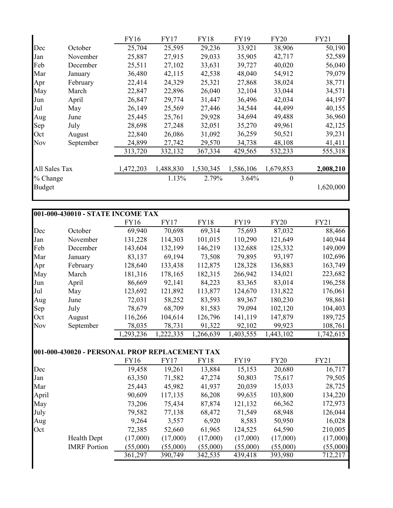|               |           | <b>FY16</b> | <b>FY17</b> | <b>FY18</b> | FY19      | <b>FY20</b> | FY21      |
|---------------|-----------|-------------|-------------|-------------|-----------|-------------|-----------|
| Dec           | October   | 25,704      | 25,595      | 29,236      | 33,921    | 38,906      | 50,190    |
| Jan           | November  | 25,887      | 27,915      | 29,033      | 35,905    | 42,717      | 52,589    |
| Feb           | December  | 25,511      | 27,102      | 33,631      | 39,727    | 40,020      | 56,040    |
| Mar           | January   | 36,480      | 42,115      | 42,538      | 48,040    | 54,912      | 79,079    |
| Apr           | February  | 22,414      | 24,329      | 25,321      | 27,868    | 38,024      | 38,771    |
| May           | March     | 22,847      | 22,896      | 26,040      | 32,104    | 33,044      | 34,571    |
| Jun           | April     | 26,847      | 29,774      | 31,447      | 36,496    | 42,034      | 44,197    |
| Jul           | May       | 26,149      | 25,569      | 27,446      | 34,544    | 44,499      | 40,155    |
| Aug           | June      | 25,445      | 25,761      | 29,928      | 34,694    | 49,488      | 36,960    |
| Sep           | July      | 28,698      | 27,248      | 32,051      | 35,270    | 49,961      | 42,125    |
| Oct           | August    | 22,840      | 26,086      | 31,092      | 36,259    | 50,521      | 39,231    |
| <b>Nov</b>    | September | 24,899      | 27,742      | 29,570      | 34,738    | 48,108      | 41,411    |
|               |           | 313,720     | 332,132     | 367,334     | 429,565   | 532,233     | 555,318   |
| All Sales Tax |           | 1,472,203   | 1,488,830   | 1,530,345   | 1,586,106 | 1,679,853   | 2,008,210 |
| $%$ Change    |           |             | 1.13%       | 2.79%       | 3.64%     | $\theta$    |           |
| <b>Budget</b> |           |             |             |             |           |             | 1,620,000 |

|            | 001-000-430010 - STATE INCOME TAX |             |          |             |             |             |             |  |  |  |
|------------|-----------------------------------|-------------|----------|-------------|-------------|-------------|-------------|--|--|--|
|            |                                   | <b>FY16</b> | FY17     | <b>FY18</b> | <b>FY19</b> | <b>FY20</b> | <b>FY21</b> |  |  |  |
| Dec        | October                           | 69,940      | 70,698   | 69,314      | 75,693      | 87,032      | 88,466      |  |  |  |
| Jan        | November                          | 131,228     | 114,303  | 101,015     | 110,290     | 121,649     | 140,944     |  |  |  |
| Feb        | December                          | 143,604     | 132,199  | 146,219     | 132,688     | 125,332     | 149,009     |  |  |  |
| Mar        | January                           | 83,137      | 69,194   | 73,508      | 79,895      | 93,197      | 102,696     |  |  |  |
| Apr        | February                          | 128,640     | 133,438  | 112,875     | 128,328     | 136,883     | 163,749     |  |  |  |
| May        | March                             | 181,316     | 178,165  | 182,315     | 266,942     | 134,021     | 223,682     |  |  |  |
| Jun        | April                             | 86,669      | 92,141   | 84,223      | 83,365      | 83,014      | 196,258     |  |  |  |
| Jul        | May                               | 123,692     | 121,892  | 113,877     | 124,670     | 131,822     | 176,061     |  |  |  |
| Aug        | June                              | 72,031      | 58,252   | 83,593      | 89,367      | 180,230     | 98,861      |  |  |  |
| Sep        | July                              | 78,679      | 68,709   | 81,583      | 79,094      | 102,120     | 104,403     |  |  |  |
| Oct        | August                            | 116,266     | 104,614  | 126,796     | 141,119     | 147,879     | 189,725     |  |  |  |
| <b>Nov</b> | September                         | 78,035      | 78,731   | 91,322      | 92,102      | 99,923      | 108,761     |  |  |  |
|            |                                   | 1,293,236   | ,222,335 | 1,266,639   | 1,403,555   | 1,443,102   | 1,742,615   |  |  |  |

# **001-000-430020 - PERSONAL PROP REPLACEMENT TAX**

|       |                     | FY16     | <b>FY17</b> | <b>FY18</b> | FY19     | <b>FY20</b> | <b>FY21</b> |
|-------|---------------------|----------|-------------|-------------|----------|-------------|-------------|
| Dec   |                     | 19,458   | 19,261      | 13,884      | 15,153   | 20,680      | 16,717      |
| Jan   |                     | 63,350   | 71,582      | 47,274      | 50,803   | 75,617      | 79,505      |
| Mar   |                     | 25,443   | 45,982      | 41,937      | 20,039   | 15,033      | 28,725      |
| April |                     | 90,609   | 117,135     | 86,208      | 99,635   | 103,800     | 134,220     |
| May   |                     | 73,206   | 75,434      | 87,874      | 121,132  | 66,362      | 172,973     |
| July  |                     | 79,582   | 77,138      | 68,472      | 71,549   | 68,948      | 126,044     |
| Aug   |                     | 9,264    | 3,557       | 6,920       | 8,583    | 50,950      | 16,028      |
| Oct   |                     | 72,385   | 52,660      | 61,965      | 124,525  | 64,590      | 210,005     |
|       | <b>Health Dept</b>  | (17,000) | (17,000)    | (17,000)    | (17,000) | (17,000)    | (17,000)    |
|       | <b>IMRF</b> Portion | (55,000) | (55,000)    | (55,000)    | (55,000) | (55,000)    | (55,000)    |
|       |                     | 361,297  | 390,749     | 342,535     | 439,418  | 393,980     | 712,217     |
|       |                     |          |             |             |          |             |             |